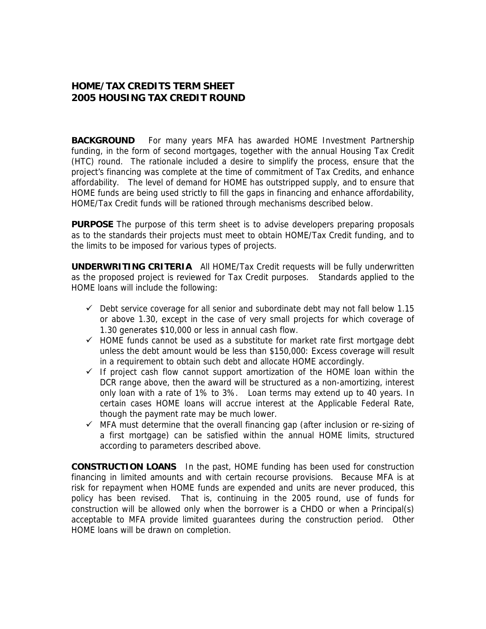## **HOME/TAX CREDITS TERM SHEET 2005 HOUSING TAX CREDIT ROUND**

**BACKGROUND** For many years MFA has awarded HOME Investment Partnership funding, in the form of second mortgages, together with the annual Housing Tax Credit (HTC) round. The rationale included a desire to simplify the process, ensure that the project's financing was complete at the time of commitment of Tax Credits, and enhance affordability. The level of demand for HOME has outstripped supply, and to ensure that HOME funds are being used strictly to fill the gaps in financing and enhance affordability, HOME/Tax Credit funds will be rationed through mechanisms described below.

**PURPOSE** The purpose of this term sheet is to advise developers preparing proposals as to the standards their projects must meet to obtain HOME/Tax Credit funding, and to the limits to be imposed for various types of projects.

**UNDERWRITING CRITERIA** All HOME/Tax Credit requests will be fully underwritten as the proposed project is reviewed for Tax Credit purposes. Standards applied to the HOME loans will include the following:

- $\checkmark$  Debt service coverage for all senior and subordinate debt may not fall below 1.15 or above 1.30, except in the case of very small projects for which coverage of 1.30 generates \$10,000 or less in annual cash flow.
- $\checkmark$  HOME funds cannot be used as a substitute for market rate first mortgage debt unless the debt amount would be less than \$150,000: Excess coverage will result in a requirement to obtain such debt and allocate HOME accordingly.
- $\checkmark$  If project cash flow cannot support amortization of the HOME loan within the DCR range above, then the award will be structured as a non-amortizing, interest only loan with a rate of 1% to 3%. Loan terms may extend up to 40 years. In certain cases HOME loans will accrue interest at the Applicable Federal Rate, though the payment rate may be much lower.
- $\checkmark$  MFA must determine that the overall financing gap (after inclusion or re-sizing of a first mortgage) can be satisfied within the annual HOME limits, structured according to parameters described above.

**CONSTRUCTION LOANS** In the past, HOME funding has been used for construction financing in limited amounts and with certain recourse provisions. Because MFA is at risk for repayment when HOME funds are expended and units are never produced, this policy has been revised. That is, continuing in the 2005 round, use of funds for construction will be allowed only when the borrower is a CHDO or when a Principal(s) acceptable to MFA provide limited guarantees during the construction period. Other HOME loans will be drawn on completion.